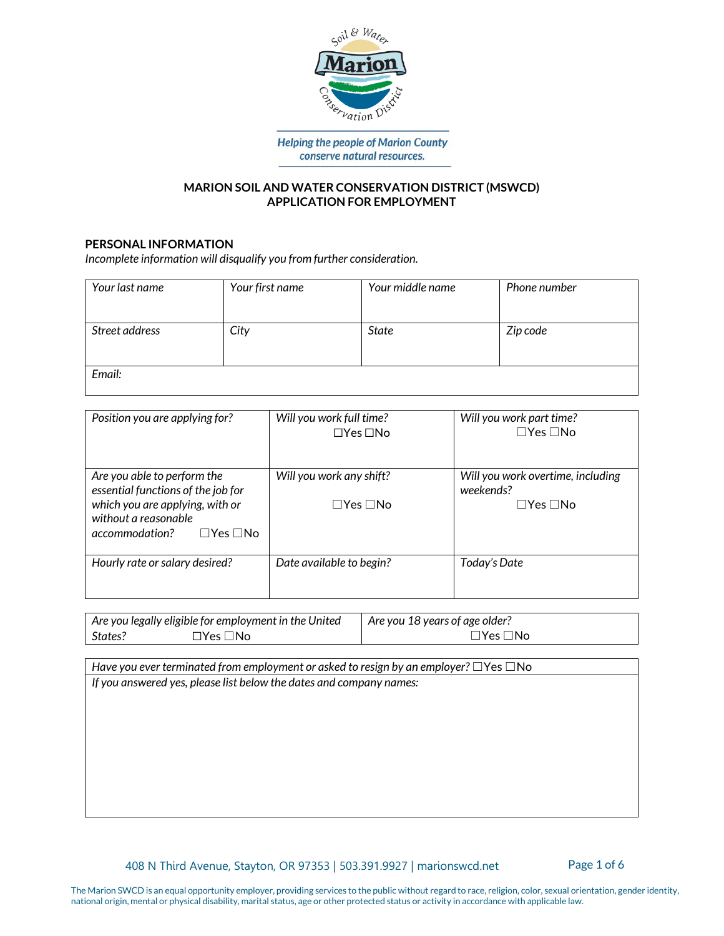

**Helping the people of Marion County** conserve natural resources.

# **MARION SOIL AND WATER CONSERVATION DISTRICT (MSWCD) APPLICATION FOR EMPLOYMENT**

# **PERSONAL INFORMATION**

*Incomplete information will disqualify you from further consideration.*

| Your last name | Your first name | Your middle name | Phone number |
|----------------|-----------------|------------------|--------------|
|                |                 |                  |              |
| Street address | City            | <b>State</b>     | Zip code     |
|                |                 |                  |              |
|                |                 |                  |              |
| Email:         |                 |                  |              |

| Position you are applying for?                                                                                                                                         | Will you work full time?<br>$\Box$ Yes $\Box$ No | Will you work part time?<br>$\Box$ Yes $\Box$ No                       |
|------------------------------------------------------------------------------------------------------------------------------------------------------------------------|--------------------------------------------------|------------------------------------------------------------------------|
| Are you able to perform the<br>essential functions of the job for<br>which you are applying, with or<br>without a reasonable<br>accommodation?<br>$\Box$ Yes $\Box$ No | Will you work any shift?<br>$\Box$ Yes $\Box$ No | Will you work overtime, including<br>weekends?<br>$\Box$ Yes $\Box$ No |
| Hourly rate or salary desired?                                                                                                                                         | Date available to begin?                         | Today's Date                                                           |

| Are you legally eligible for employment in the United |                | Are you 18 years of age older? |  |
|-------------------------------------------------------|----------------|--------------------------------|--|
| States?                                               | .∃No<br>∃Yes L | ∃Yes i<br>⊺No                  |  |

*Have you ever terminated from employment or asked to resign by an employer?* ☐Yes ☐No *If you answered yes, please list below the dates and company names:*

408 N Third Avenue, Stayton, OR 97353 | 503.391.9927 | marionswcd.net Page 1 of 6

The Marion SWCD is an equal opportunity employer, providing services to the public without regard to race, religion, color, sexual orientation, gender identity, national origin, mental or physical disability, marital status, age or other protected status or activity in accordance with applicable law.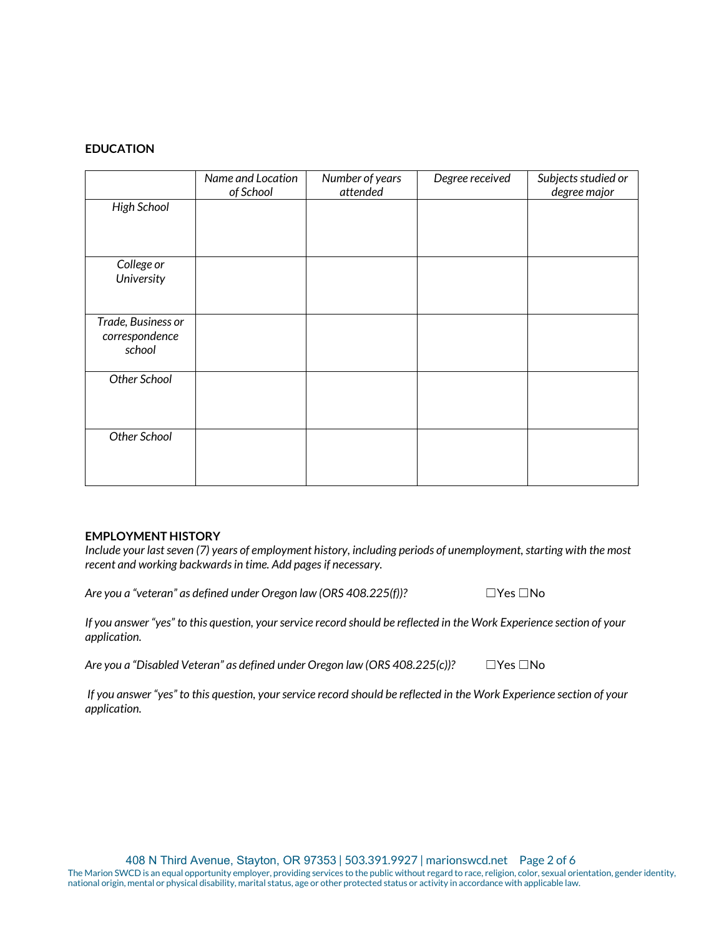# **EDUCATION**

|                                                | Name and Location<br>of School | Number of years<br>attended | Degree received | Subjects studied or<br>degree major |
|------------------------------------------------|--------------------------------|-----------------------------|-----------------|-------------------------------------|
| <b>High School</b>                             |                                |                             |                 |                                     |
| College or<br>University                       |                                |                             |                 |                                     |
| Trade, Business or<br>correspondence<br>school |                                |                             |                 |                                     |
| Other School                                   |                                |                             |                 |                                     |
| Other School                                   |                                |                             |                 |                                     |

#### **EMPLOYMENT HISTORY**

*Include your last seven (7) years of employment history, including periods of unemployment, starting with the most recent and working backwards in time. Add pages if necessary.* 

*Are you a "veteran" as defined under Oregon law (ORS 408.225(f))?* □Yes □No

*If you answer "yes" to this question, your service record should be reflected in the Work Experience section of your application.* 

*Are you a "Disabled Veteran" as defined under Oregon law (ORS 408.225(c))?* ☐Yes ☐No

*If you answer "yes" to this question, your service record should be reflected in the Work Experience section of your application.*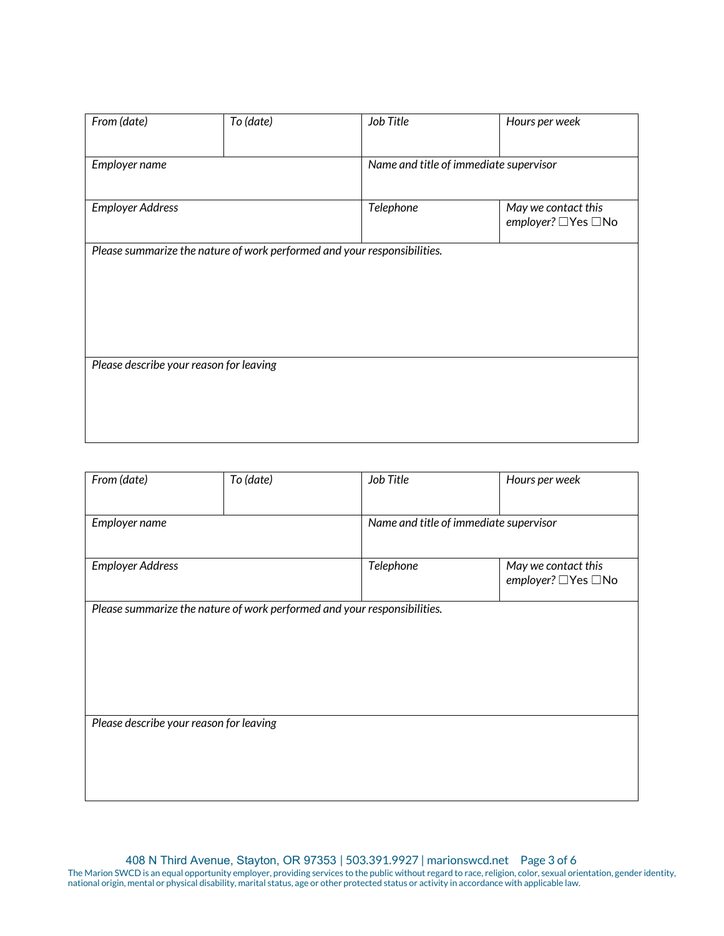| From (date)                             | To (date)                                                                | Job Title | Hours per week                            |
|-----------------------------------------|--------------------------------------------------------------------------|-----------|-------------------------------------------|
| Employer name                           |                                                                          |           | Name and title of immediate supervisor    |
| <b>Employer Address</b>                 |                                                                          | Telephone | May we contact this<br>employer? □Yes □No |
|                                         | Please summarize the nature of work performed and your responsibilities. |           |                                           |
|                                         |                                                                          |           |                                           |
|                                         |                                                                          |           |                                           |
| Please describe your reason for leaving |                                                                          |           |                                           |
|                                         |                                                                          |           |                                           |

| From (date)                             | To (date)                                                                | Job Title                              | Hours per week                              |
|-----------------------------------------|--------------------------------------------------------------------------|----------------------------------------|---------------------------------------------|
| Employer name                           |                                                                          | Name and title of immediate supervisor |                                             |
| <b>Employer Address</b>                 |                                                                          | Telephone                              | May we contact this<br>employer? □ Yes □ No |
|                                         | Please summarize the nature of work performed and your responsibilities. |                                        |                                             |
|                                         |                                                                          |                                        |                                             |
|                                         |                                                                          |                                        |                                             |
| Please describe your reason for leaving |                                                                          |                                        |                                             |
|                                         |                                                                          |                                        |                                             |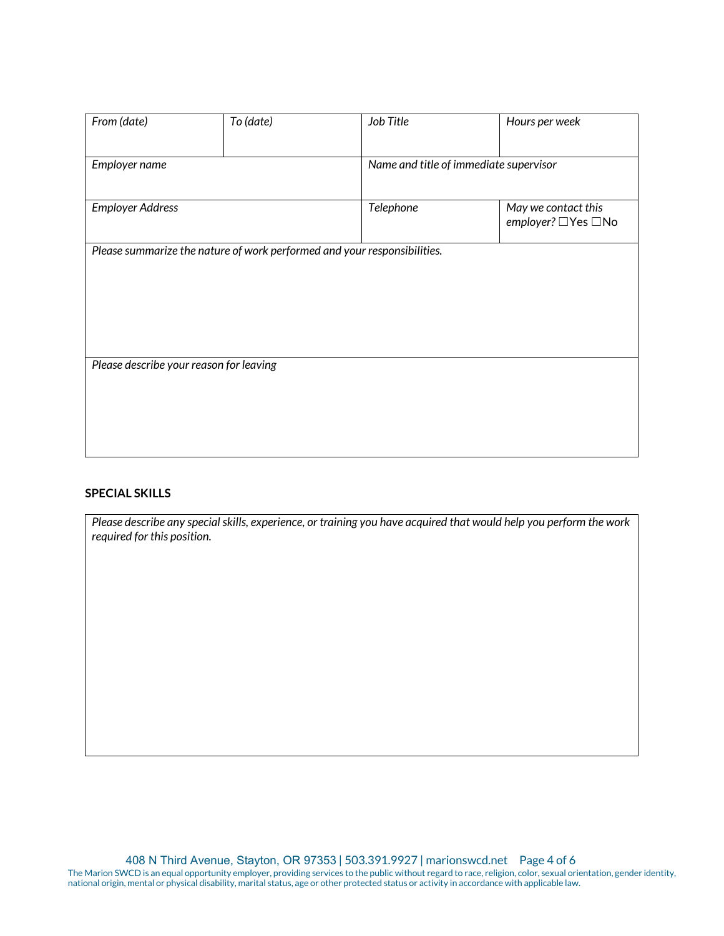| From (date)                             | To (date) | Job Title                                                                | Hours per week                              |
|-----------------------------------------|-----------|--------------------------------------------------------------------------|---------------------------------------------|
| Employer name                           |           | Name and title of immediate supervisor                                   |                                             |
| <b>Employer Address</b>                 |           | Telephone                                                                | May we contact this<br>employer? □ Yes □ No |
|                                         |           | Please summarize the nature of work performed and your responsibilities. |                                             |
|                                         |           |                                                                          |                                             |
|                                         |           |                                                                          |                                             |
| Please describe your reason for leaving |           |                                                                          |                                             |
|                                         |           |                                                                          |                                             |
|                                         |           |                                                                          |                                             |

# **SPECIAL SKILLS**

*Please describe any special skills, experience, or training you have acquired that would help you perform the work required for this position.*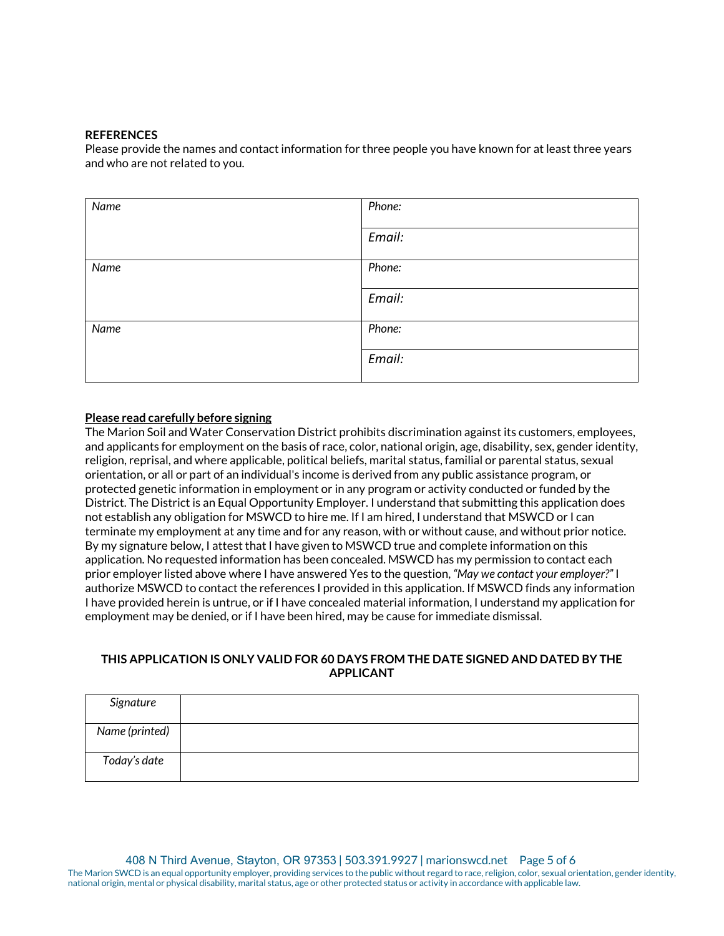#### **REFERENCES**

Please provide the names and contact information for three people you have known for at least three years and who are not related to you.

| Name | Phone: |
|------|--------|
|      | Email: |
| Name | Phone: |
|      | Email: |
| Name | Phone: |
|      | Email: |

# **Please read carefully before signing**

The Marion Soil and Water Conservation District prohibits discrimination against its customers, employees, and applicants for employment on the basis of race, color, national origin, age, disability, sex, gender identity, religion, reprisal, and where applicable, political beliefs, marital status, familial or parental status, sexual orientation, or all or part of an individual's income is derived from any public assistance program, or protected genetic information in employment or in any program or activity conducted or funded by the District. The District is an Equal Opportunity Employer. I understand that submitting this application does not establish any obligation for MSWCD to hire me. If I am hired, I understand that MSWCD or I can terminate my employment at any time and for any reason, with or without cause, and without prior notice. By my signature below, I attest that I have given to MSWCD true and complete information on this application. No requested information has been concealed. MSWCD has my permission to contact each prior employer listed above where I have answered Yes to the question, *"May we contact your employer?"* I authorize MSWCD to contact the references I provided in this application. If MSWCD finds any information I have provided herein is untrue, or if I have concealed material information, I understand my application for employment may be denied, or if I have been hired, may be cause for immediate dismissal.

# **THIS APPLICATION IS ONLY VALID FOR 60 DAYS FROM THE DATE SIGNED AND DATED BY THE APPLICANT**

| Signature      |  |
|----------------|--|
| Name (printed) |  |
| Today's date   |  |